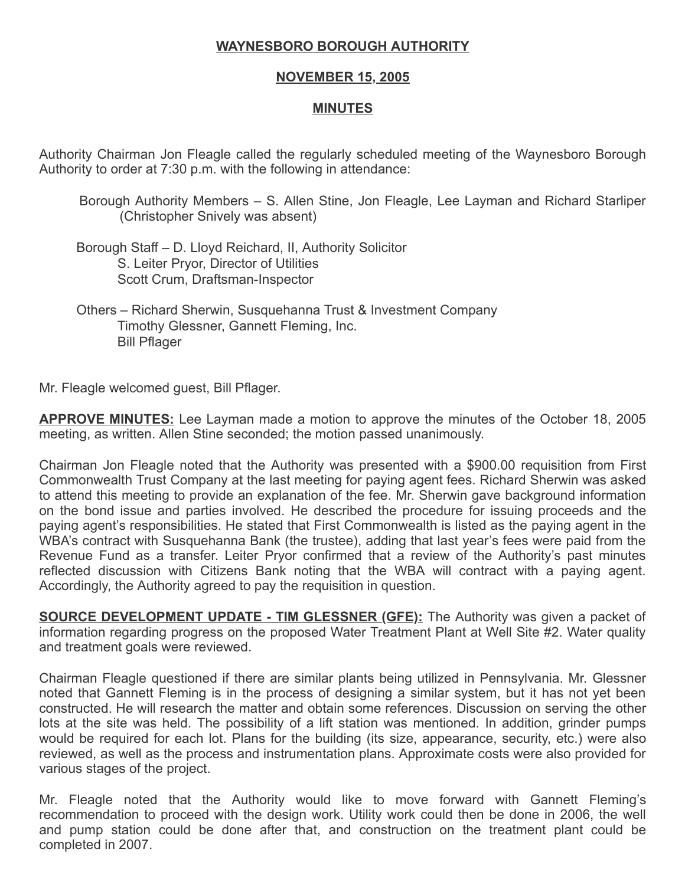## WAYNESBORO BOROUGH AUTHORITY

## NOVEMBER 15, 2005

## MINUTES

Authority Chairman Jon Fleagle called the regularly scheduled meeting of the Waynesboro Borough Authority to order at 7:30 p.m. with the following in attendance:

Borough Authority Members – S. Allen Stine, Jon Fleagle, Lee Layman and Richard Starliper (Christopher Snively was absent)

 Borough Staff – D. Lloyd Reichard, II, Authority Solicitor S. Leiter Pryor, Director of Utilities Scott Crum, Draftsman-Inspector

 Others – Richard Sherwin, Susquehanna Trust & Investment Company Timothy Glessner, Gannett Fleming, Inc. Bill Pflager

Mr. Fleagle welcomed guest, Bill Pflager.

**APPROVE MINUTES:** Lee Layman made a motion to approve the minutes of the October 18, 2005 meeting, as written. Allen Stine seconded; the motion passed unanimously.

Chairman Jon Fleagle noted that the Authority was presented with a \$900.00 requisition from First Commonwealth Trust Company at the last meeting for paying agent fees. Richard Sherwin was asked to attend this meeting to provide an explanation of the fee. Mr. Sherwin gave background information on the bond issue and parties involved. He described the procedure for issuing proceeds and the paying agent's responsibilities. He stated that First Commonwealth is listed as the paying agent in the WBA's contract with Susquehanna Bank (the trustee), adding that last year's fees were paid from the Revenue Fund as a transfer. Leiter Pryor confirmed that a review of the Authority's past minutes reflected discussion with Citizens Bank noting that the WBA will contract with a paying agent. Accordingly, the Authority agreed to pay the requisition in question.

**SOURCE DEVELOPMENT UPDATE - TIM GLESSNER (GFE):** The Authority was given a packet of information regarding progress on the proposed Water Treatment Plant at Well Site #2. Water quality and treatment goals were reviewed.

Chairman Fleagle questioned if there are similar plants being utilized in Pennsylvania. Mr. Glessner noted that Gannett Fleming is in the process of designing a similar system, but it has not yet been constructed. He will research the matter and obtain some references. Discussion on serving the other lots at the site was held. The possibility of a lift station was mentioned. In addition, grinder pumps would be required for each lot. Plans for the building (its size, appearance, security, etc.) were also reviewed, as well as the process and instrumentation plans. Approximate costs were also provided for various stages of the project.

Mr. Fleagle noted that the Authority would like to move forward with Gannett Fleming's recommendation to proceed with the design work. Utility work could then be done in 2006, the well and pump station could be done after that, and construction on the treatment plant could be completed in 2007.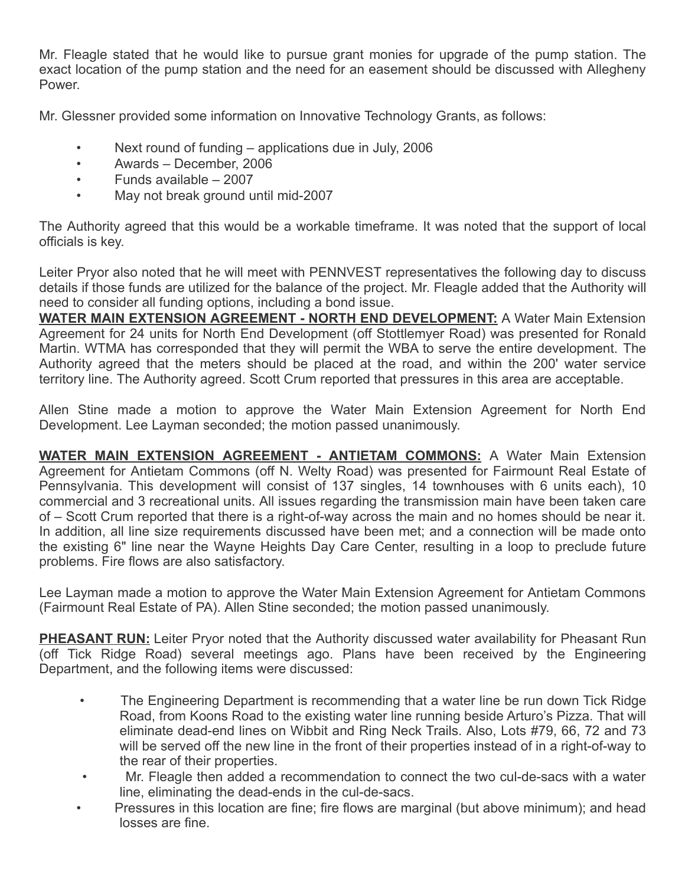Mr. Fleagle stated that he would like to pursue grant monies for upgrade of the pump station. The exact location of the pump station and the need for an easement should be discussed with Allegheny Power.

Mr. Glessner provided some information on Innovative Technology Grants, as follows:

- Next round of funding applications due in July, 2006
- Awards December, 2006
- Funds available 2007
- May not break ground until mid-2007

The Authority agreed that this would be a workable timeframe. It was noted that the support of local officials is key.

Leiter Pryor also noted that he will meet with PENNVEST representatives the following day to discuss details if those funds are utilized for the balance of the project. Mr. Fleagle added that the Authority will need to consider all funding options, including a bond issue.

WATER MAIN EXTENSION AGREEMENT - NORTH END DEVELOPMENT: A Water Main Extension Agreement for 24 units for North End Development (off Stottlemyer Road) was presented for Ronald Martin. WTMA has corresponded that they will permit the WBA to serve the entire development. The Authority agreed that the meters should be placed at the road, and within the 200' water service territory line. The Authority agreed. Scott Crum reported that pressures in this area are acceptable.

Allen Stine made a motion to approve the Water Main Extension Agreement for North End Development. Lee Layman seconded; the motion passed unanimously.

WATER MAIN EXTENSION AGREEMENT - ANTIETAM COMMONS: A Water Main Extension Agreement for Antietam Commons (off N. Welty Road) was presented for Fairmount Real Estate of Pennsylvania. This development will consist of 137 singles, 14 townhouses with 6 units each), 10 commercial and 3 recreational units. All issues regarding the transmission main have been taken care of – Scott Crum reported that there is a right-of-way across the main and no homes should be near it. In addition, all line size requirements discussed have been met; and a connection will be made onto the existing 6" line near the Wayne Heights Day Care Center, resulting in a loop to preclude future problems. Fire flows are also satisfactory.

Lee Layman made a motion to approve the Water Main Extension Agreement for Antietam Commons (Fairmount Real Estate of PA). Allen Stine seconded; the motion passed unanimously.

PHEASANT RUN: Leiter Pryor noted that the Authority discussed water availability for Pheasant Run (off Tick Ridge Road) several meetings ago. Plans have been received by the Engineering Department, and the following items were discussed:

- The Engineering Department is recommending that a water line be run down Tick Ridge Road, from Koons Road to the existing water line running beside Arturo's Pizza. That will eliminate dead-end lines on Wibbit and Ring Neck Trails. Also, Lots #79, 66, 72 and 73 will be served off the new line in the front of their properties instead of in a right-of-way to the rear of their properties.
- Mr. Fleagle then added a recommendation to connect the two cul-de-sacs with a water line, eliminating the dead-ends in the cul-de-sacs.
- Pressures in this location are fine; fire flows are marginal (but above minimum); and head losses are fine.